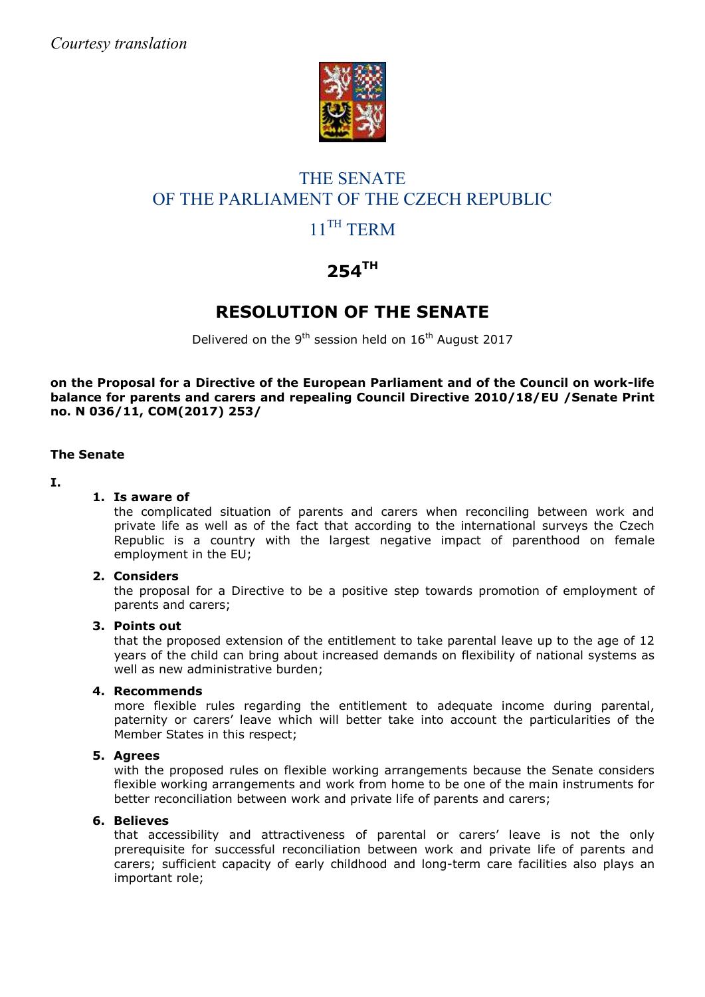

# THE SENATE OF THE PARLIAMENT OF THE CZECH REPUBLIC 11<sup>TH</sup> TERM

# **254TH**

# **RESOLUTION OF THE SENATE**

Delivered on the 9<sup>th</sup> session held on  $16<sup>th</sup>$  August 2017

**on the Proposal for a Directive of the European Parliament and of the Council on work-life balance for parents and carers and repealing Council Directive 2010/18/EU /Senate Print no. N 036/11, COM(2017) 253/**

### **The Senate**

#### **I.**

### **1. Is aware of**

the complicated situation of parents and carers when reconciling between work and private life as well as of the fact that according to the international surveys the Czech Republic is a country with the largest negative impact of parenthood on female employment in the EU;

#### **2. Considers**

the proposal for a Directive to be a positive step towards promotion of employment of parents and carers;

#### **3. Points out**

that the proposed extension of the entitlement to take parental leave up to the age of 12 years of the child can bring about increased demands on flexibility of national systems as well as new administrative burden;

## **4. Recommends**

more flexible rules regarding the entitlement to adequate income during parental, paternity or carers' leave which will better take into account the particularities of the Member States in this respect;

#### **5. Agrees**

with the proposed rules on flexible working arrangements because the Senate considers flexible working arrangements and work from home to be one of the main instruments for better reconciliation between work and private life of parents and carers;

#### **6. Believes**

that accessibility and attractiveness of parental or carers' leave is not the only prerequisite for successful reconciliation between work and private life of parents and carers; sufficient capacity of early childhood and long-term care facilities also plays an important role;